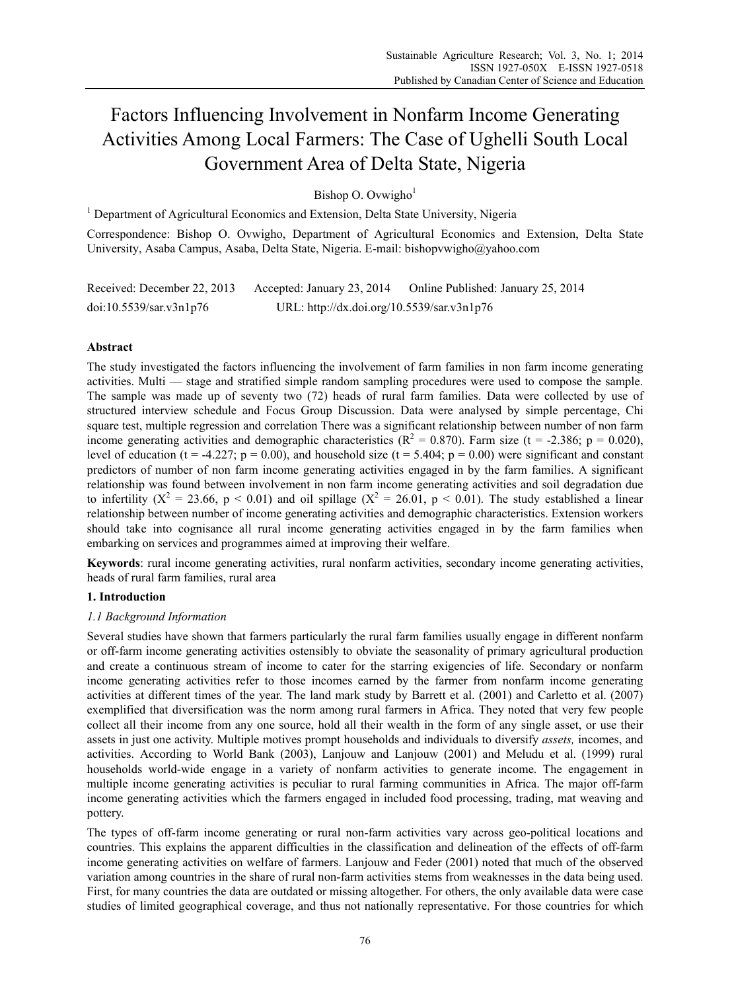# Factors Influencing Involvement in Nonfarm Income Generating Activities Among Local Farmers: The Case of Ughelli South Local Government Area of Delta State, Nigeria

# Bishop O. Ovwigho $1$

<sup>1</sup> Department of Agricultural Economics and Extension, Delta State University, Nigeria

Correspondence: Bishop O. Ovwigho, Department of Agricultural Economics and Extension, Delta State University, Asaba Campus, Asaba, Delta State, Nigeria. E-mail: bishopvwigho@yahoo.com

Received: December 22, 2013 Accepted: January 23, 2014 Online Published: January 25, 2014 doi:10.5539/sar.v3n1p76 URL: http://dx.doi.org/10.5539/sar.v3n1p76

# **Abstract**

The study investigated the factors influencing the involvement of farm families in non farm income generating activities. Multi — stage and stratified simple random sampling procedures were used to compose the sample. The sample was made up of seventy two (72) heads of rural farm families. Data were collected by use of structured interview schedule and Focus Group Discussion. Data were analysed by simple percentage, Chi square test, multiple regression and correlation There was a significant relationship between number of non farm income generating activities and demographic characteristics ( $R^2 = 0.870$ ). Farm size (t = -2.386; p = 0.020), level of education (t = -4.227; p = 0.00), and household size (t = 5.404; p = 0.00) were significant and constant predictors of number of non farm income generating activities engaged in by the farm families. A significant relationship was found between involvement in non farm income generating activities and soil degradation due to infertility ( $X^2 = 23.66$ ,  $p < 0.01$ ) and oil spillage ( $X^2 = 26.01$ ,  $p < 0.01$ ). The study established a linear relationship between number of income generating activities and demographic characteristics. Extension workers should take into cognisance all rural income generating activities engaged in by the farm families when embarking on services and programmes aimed at improving their welfare.

**Keywords**: rural income generating activities, rural nonfarm activities, secondary income generating activities, heads of rural farm families, rural area

#### **1. Introduction**

#### *1.1 Background Information*

Several studies have shown that farmers particularly the rural farm families usually engage in different nonfarm or off-farm income generating activities ostensibly to obviate the seasonality of primary agricultural production and create a continuous stream of income to cater for the starring exigencies of life. Secondary or nonfarm income generating activities refer to those incomes earned by the farmer from nonfarm income generating activities at different times of the year. The land mark study by Barrett et al. (2001) and Carletto et al. (2007) exemplified that diversification was the norm among rural farmers in Africa. They noted that very few people collect all their income from any one source, hold all their wealth in the form of any single asset, or use their assets in just one activity. Multiple motives prompt households and individuals to diversify *assets,* incomes, and activities. According to World Bank (2003), Lanjouw and Lanjouw (2001) and Meludu et al. (1999) rural households world-wide engage in a variety of nonfarm activities to generate income. The engagement in multiple income generating activities is peculiar to rural farming communities in Africa. The major off-farm income generating activities which the farmers engaged in included food processing, trading, mat weaving and pottery.

The types of off-farm income generating or rural non-farm activities vary across geo-political locations and countries. This explains the apparent difficulties in the classification and delineation of the effects of off-farm income generating activities on welfare of farmers. Lanjouw and Feder (2001) noted that much of the observed variation among countries in the share of rural non-farm activities stems from weaknesses in the data being used. First, for many countries the data are outdated or missing altogether. For others, the only available data were case studies of limited geographical coverage, and thus not nationally representative. For those countries for which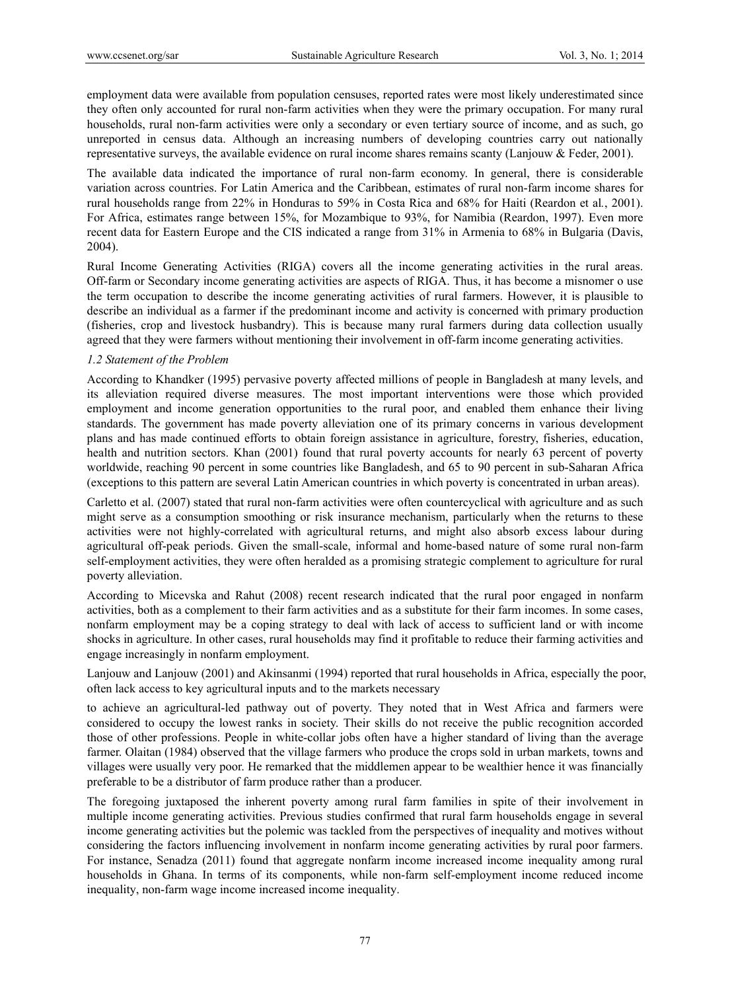employment data were available from population censuses, reported rates were most likely underestimated since they often only accounted for rural non-farm activities when they were the primary occupation. For many rural households, rural non-farm activities were only a secondary or even tertiary source of income, and as such, go unreported in census data. Although an increasing numbers of developing countries carry out nationally representative surveys, the available evidence on rural income shares remains scanty (Lanjouw & Feder, 2001).

The available data indicated the importance of rural non-farm economy. In general, there is considerable variation across countries. For Latin America and the Caribbean, estimates of rural non-farm income shares for rural households range from 22% in Honduras to 59% in Costa Rica and 68% for Haiti (Reardon et al*.*, 2001). For Africa, estimates range between 15%, for Mozambique to 93%, for Namibia (Reardon, 1997). Even more recent data for Eastern Europe and the CIS indicated a range from 31% in Armenia to 68% in Bulgaria (Davis, 2004).

Rural Income Generating Activities (RIGA) covers all the income generating activities in the rural areas. Off-farm or Secondary income generating activities are aspects of RIGA. Thus, it has become a misnomer o use the term occupation to describe the income generating activities of rural farmers. However, it is plausible to describe an individual as a farmer if the predominant income and activity is concerned with primary production (fisheries, crop and livestock husbandry). This is because many rural farmers during data collection usually agreed that they were farmers without mentioning their involvement in off-farm income generating activities.

#### *1.2 Statement of the Problem*

According to Khandker (1995) pervasive poverty affected millions of people in Bangladesh at many levels, and its alleviation required diverse measures. The most important interventions were those which provided employment and income generation opportunities to the rural poor, and enabled them enhance their living standards. The government has made poverty alleviation one of its primary concerns in various development plans and has made continued efforts to obtain foreign assistance in agriculture, forestry, fisheries, education, health and nutrition sectors. Khan (2001) found that rural poverty accounts for nearly 63 percent of poverty worldwide, reaching 90 percent in some countries like Bangladesh, and 65 to 90 percent in sub-Saharan Africa (exceptions to this pattern are several Latin American countries in which poverty is concentrated in urban areas).

Carletto et al. (2007) stated that rural non-farm activities were often countercyclical with agriculture and as such might serve as a consumption smoothing or risk insurance mechanism, particularly when the returns to these activities were not highly-correlated with agricultural returns, and might also absorb excess labour during agricultural off-peak periods. Given the small-scale, informal and home-based nature of some rural non-farm self-employment activities, they were often heralded as a promising strategic complement to agriculture for rural poverty alleviation.

According to Micevska and Rahut (2008) recent research indicated that the rural poor engaged in nonfarm activities, both as a complement to their farm activities and as a substitute for their farm incomes. In some cases, nonfarm employment may be a coping strategy to deal with lack of access to sufficient land or with income shocks in agriculture. In other cases, rural households may find it profitable to reduce their farming activities and engage increasingly in nonfarm employment.

Lanjouw and Lanjouw (2001) and Akinsanmi (1994) reported that rural households in Africa, especially the poor, often lack access to key agricultural inputs and to the markets necessary

to achieve an agricultural-led pathway out of poverty. They noted that in West Africa and farmers were considered to occupy the lowest ranks in society. Their skills do not receive the public recognition accorded those of other professions. People in white-collar jobs often have a higher standard of living than the average farmer. Olaitan (1984) observed that the village farmers who produce the crops sold in urban markets, towns and villages were usually very poor. He remarked that the middlemen appear to be wealthier hence it was financially preferable to be a distributor of farm produce rather than a producer.

The foregoing juxtaposed the inherent poverty among rural farm families in spite of their involvement in multiple income generating activities. Previous studies confirmed that rural farm households engage in several income generating activities but the polemic was tackled from the perspectives of inequality and motives without considering the factors influencing involvement in nonfarm income generating activities by rural poor farmers. For instance, Senadza (2011) found that aggregate nonfarm income increased income inequality among rural households in Ghana. In terms of its components, while non-farm self-employment income reduced income inequality, non-farm wage income increased income inequality.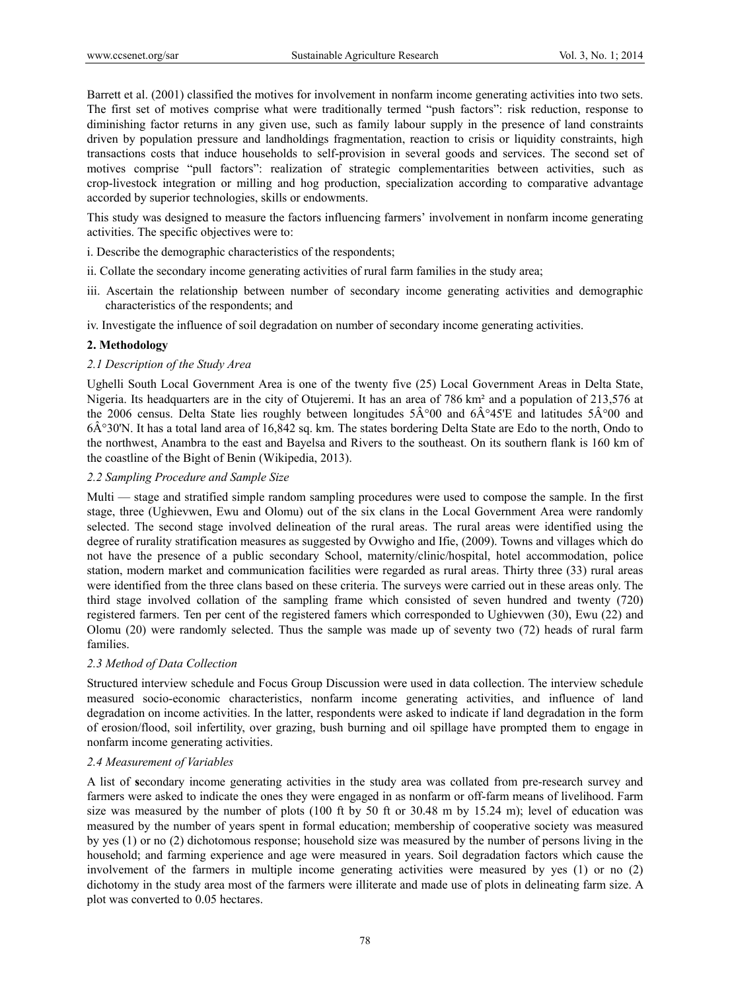Barrett et al. (2001) classified the motives for involvement in nonfarm income generating activities into two sets. The first set of motives comprise what were traditionally termed "push factors": risk reduction, response to diminishing factor returns in any given use, such as family labour supply in the presence of land constraints driven by population pressure and landholdings fragmentation, reaction to crisis or liquidity constraints, high transactions costs that induce households to self-provision in several goods and services. The second set of motives comprise "pull factors": realization of strategic complementarities between activities, such as crop-livestock integration or milling and hog production, specialization according to comparative advantage accorded by superior technologies, skills or endowments.

This study was designed to measure the factors influencing farmers' involvement in nonfarm income generating activities. The specific objectives were to:

- i. Describe the demographic characteristics of the respondents;
- ii. Collate the secondary income generating activities of rural farm families in the study area;
- iii. Ascertain the relationship between number of secondary income generating activities and demographic characteristics of the respondents; and
- iv. Investigate the influence of soil degradation on number of secondary income generating activities.

# **2. Methodology**

# *2.1 Description of the Study Area*

Ughelli South Local Government Area is one of the twenty five (25) Local Government Areas in Delta State, Nigeria. Its headquarters are in the city of Otujeremi. It has an area of 786 km² and a population of 213,576 at the 2006 census. Delta State lies roughly between longitudes  $5\hat{A}^{\circ}00$  and  $6\hat{A}^{\circ}45'E$  and latitudes  $5\hat{A}^{\circ}00$  and  $6\hat{A}^{\circ}30'N$ . It has a total land area of 16,842 sq. km. The states bordering Delta State are Edo to the north, Ondo to the northwest, Anambra to the east and Bayelsa and Rivers to the southeast. On its southern flank is 160 km of the coastline of the Bight of Benin (Wikipedia, 2013).

#### *2.2 Sampling Procedure and Sample Size*

Multi — stage and stratified simple random sampling procedures were used to compose the sample. In the first stage, three (Ughievwen, Ewu and Olomu) out of the six clans in the Local Government Area were randomly selected. The second stage involved delineation of the rural areas. The rural areas were identified using the degree of rurality stratification measures as suggested by Ovwigho and Ifie, (2009). Towns and villages which do not have the presence of a public secondary School, maternity/clinic/hospital, hotel accommodation, police station, modern market and communication facilities were regarded as rural areas. Thirty three (33) rural areas were identified from the three clans based on these criteria. The surveys were carried out in these areas only. The third stage involved collation of the sampling frame which consisted of seven hundred and twenty (720) registered farmers. Ten per cent of the registered famers which corresponded to Ughievwen (30), Ewu (22) and Olomu (20) were randomly selected. Thus the sample was made up of seventy two (72) heads of rural farm families.

# *2.3 Method of Data Collection*

Structured interview schedule and Focus Group Discussion were used in data collection. The interview schedule measured socio-economic characteristics, nonfarm income generating activities, and influence of land degradation on income activities. In the latter, respondents were asked to indicate if land degradation in the form of erosion/flood, soil infertility, over grazing, bush burning and oil spillage have prompted them to engage in nonfarm income generating activities.

#### *2.4 Measurement of Variables*

A list of **s**econdary income generating activities in the study area was collated from pre-research survey and farmers were asked to indicate the ones they were engaged in as nonfarm or off-farm means of livelihood. Farm size was measured by the number of plots (100 ft by 50 ft or 30.48 m by 15.24 m); level of education was measured by the number of years spent in formal education; membership of cooperative society was measured by yes (1) or no (2) dichotomous response; household size was measured by the number of persons living in the household; and farming experience and age were measured in years. Soil degradation factors which cause the involvement of the farmers in multiple income generating activities were measured by yes (1) or no (2) dichotomy in the study area most of the farmers were illiterate and made use of plots in delineating farm size. A plot was converted to 0.05 hectares.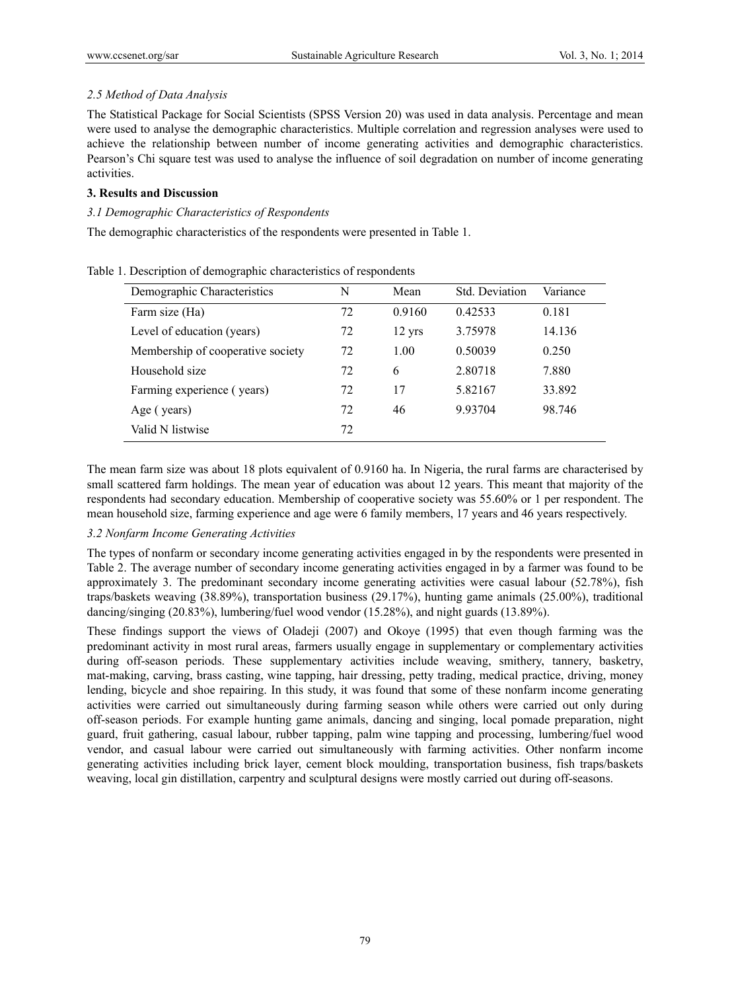### *2.5 Method of Data Analysis*

The Statistical Package for Social Scientists (SPSS Version 20) was used in data analysis. Percentage and mean were used to analyse the demographic characteristics. Multiple correlation and regression analyses were used to achieve the relationship between number of income generating activities and demographic characteristics. Pearson's Chi square test was used to analyse the influence of soil degradation on number of income generating activities.

# **3. Results and Discussion**

### *3.1 Demographic Characteristics of Respondents*

The demographic characteristics of the respondents were presented in Table 1.

| Demographic Characteristics       | N  | Mean             | Std. Deviation | Variance |
|-----------------------------------|----|------------------|----------------|----------|
| Farm size (Ha)                    | 72 | 0.9160           | 0.42533        | 0.181    |
| Level of education (years)        | 72 | $12 \text{ yrs}$ | 3.75978        | 14.136   |
| Membership of cooperative society | 72 | 1.00             | 0.50039        | 0.250    |
| Household size                    | 72 | 6                | 2.80718        | 7.880    |
| Farming experience (years)        | 72 | 17               | 5.82167        | 33.892   |
| Age (years)                       | 72 | 46               | 9.93704        | 98.746   |
| Valid N listwise                  | 72 |                  |                |          |

|  |  | Table 1. Description of demographic characteristics of respondents |
|--|--|--------------------------------------------------------------------|
|  |  |                                                                    |

The mean farm size was about 18 plots equivalent of 0.9160 ha. In Nigeria, the rural farms are characterised by small scattered farm holdings. The mean year of education was about 12 years. This meant that majority of the respondents had secondary education. Membership of cooperative society was 55.60% or 1 per respondent. The mean household size, farming experience and age were 6 family members, 17 years and 46 years respectively.

#### *3.2 Nonfarm Income Generating Activities*

The types of nonfarm or secondary income generating activities engaged in by the respondents were presented in Table 2. The average number of secondary income generating activities engaged in by a farmer was found to be approximately 3. The predominant secondary income generating activities were casual labour (52.78%), fish traps/baskets weaving (38.89%), transportation business (29.17%), hunting game animals (25.00%), traditional dancing/singing (20.83%), lumbering/fuel wood vendor (15.28%), and night guards (13.89%).

These findings support the views of Oladeji (2007) and Okoye (1995) that even though farming was the predominant activity in most rural areas, farmers usually engage in supplementary or complementary activities during off-season periods. These supplementary activities include weaving, smithery, tannery, basketry, mat-making, carving, brass casting, wine tapping, hair dressing, petty trading, medical practice, driving, money lending, bicycle and shoe repairing. In this study, it was found that some of these nonfarm income generating activities were carried out simultaneously during farming season while others were carried out only during off-season periods. For example hunting game animals, dancing and singing, local pomade preparation, night guard, fruit gathering, casual labour, rubber tapping, palm wine tapping and processing, lumbering/fuel wood vendor, and casual labour were carried out simultaneously with farming activities. Other nonfarm income generating activities including brick layer, cement block moulding, transportation business, fish traps/baskets weaving, local gin distillation, carpentry and sculptural designs were mostly carried out during off-seasons.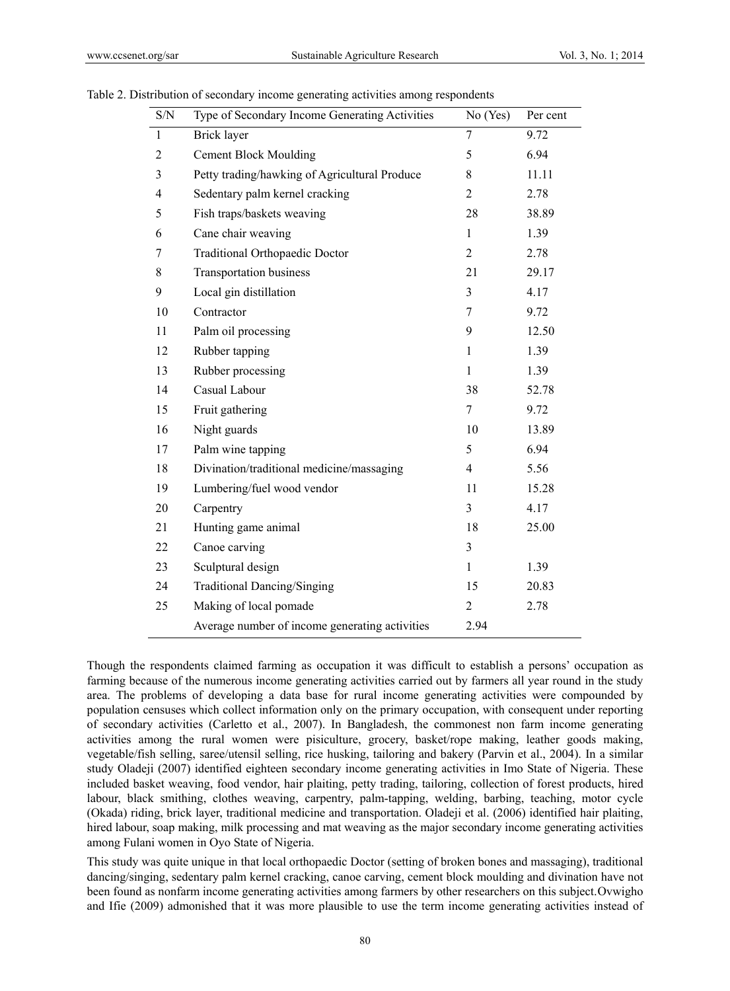| S/N            | Type of Secondary Income Generating Activities | No(Yes)        | Per cent |
|----------------|------------------------------------------------|----------------|----------|
| $\mathbf{1}$   | Brick layer                                    | 7              | 9.72     |
| $\overline{c}$ | <b>Cement Block Moulding</b>                   | 5              | 6.94     |
| 3              | Petty trading/hawking of Agricultural Produce  | 8              | 11.11    |
| 4              | Sedentary palm kernel cracking                 | $\overline{2}$ | 2.78     |
| 5              | Fish traps/baskets weaving                     | 28             | 38.89    |
| 6              | Cane chair weaving                             | $\mathbf{1}$   | 1.39     |
| 7              | Traditional Orthopaedic Doctor                 | $\overline{2}$ | 2.78     |
| 8              | <b>Transportation business</b>                 | 21             | 29.17    |
| 9              | Local gin distillation                         | 3              | 4.17     |
| 10             | Contractor                                     | 7              | 9.72     |
| 11             | Palm oil processing                            | 9              | 12.50    |
| 12             | Rubber tapping                                 | $\mathbf{1}$   | 1.39     |
| 13             | Rubber processing                              | $\mathbf{1}$   | 1.39     |
| 14             | Casual Labour                                  | 38             | 52.78    |
| 15             | Fruit gathering                                | 7              | 9.72     |
| 16             | Night guards                                   | 10             | 13.89    |
| 17             | Palm wine tapping                              | 5              | 6.94     |
| 18             | Divination/traditional medicine/massaging      | $\overline{4}$ | 5.56     |
| 19             | Lumbering/fuel wood vendor                     | 11             | 15.28    |
| 20             | Carpentry                                      | 3              | 4.17     |
| 21             | Hunting game animal                            | 18             | 25.00    |
| 22             | Canoe carving                                  | 3              |          |
| 23             | Sculptural design                              | $\mathbf{1}$   | 1.39     |
| 24             | <b>Traditional Dancing/Singing</b>             | 15             | 20.83    |
| 25             | Making of local pomade                         | $\overline{2}$ | 2.78     |
|                | Average number of income generating activities | 2.94           |          |

|  |  | Table 2. Distribution of secondary income generating activities among respondents |
|--|--|-----------------------------------------------------------------------------------|
|  |  |                                                                                   |

Though the respondents claimed farming as occupation it was difficult to establish a persons' occupation as farming because of the numerous income generating activities carried out by farmers all year round in the study area. The problems of developing a data base for rural income generating activities were compounded by population censuses which collect information only on the primary occupation, with consequent under reporting of secondary activities (Carletto et al., 2007). In Bangladesh, the commonest non farm income generating activities among the rural women were pisiculture, grocery, basket/rope making, leather goods making, vegetable/fish selling, saree/utensil selling, rice husking, tailoring and bakery (Parvin et al., 2004). In a similar study Oladeji (2007) identified eighteen secondary income generating activities in Imo State of Nigeria. These included basket weaving, food vendor, hair plaiting, petty trading, tailoring, collection of forest products, hired labour, black smithing, clothes weaving, carpentry, palm-tapping, welding, barbing, teaching, motor cycle (Okada) riding, brick layer, traditional medicine and transportation. Oladeji et al. (2006) identified hair plaiting, hired labour, soap making, milk processing and mat weaving as the major secondary income generating activities among Fulani women in Oyo State of Nigeria.

This study was quite unique in that local orthopaedic Doctor (setting of broken bones and massaging), traditional dancing/singing, sedentary palm kernel cracking, canoe carving, cement block moulding and divination have not been found as nonfarm income generating activities among farmers by other researchers on this subject. Ovwigho and Ifie (2009) admonished that it was more plausible to use the term income generating activities instead of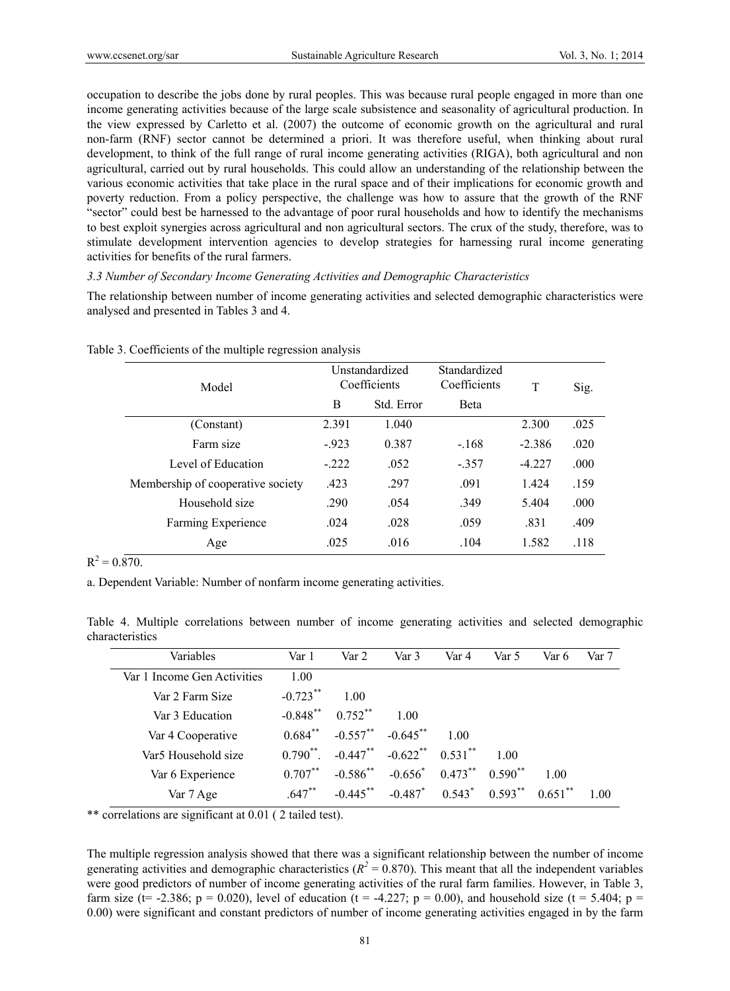occupation to describe the jobs done by rural peoples. This was because rural people engaged in more than one income generating activities because of the large scale subsistence and seasonality of agricultural production. In the view expressed by Carletto et al. (2007) the outcome of economic growth on the agricultural and rural non-farm (RNF) sector cannot be determined a priori. It was therefore useful, when thinking about rural development, to think of the full range of rural income generating activities (RIGA), both agricultural and non agricultural, carried out by rural households. This could allow an understanding of the relationship between the various economic activities that take place in the rural space and of their implications for economic growth and poverty reduction. From a policy perspective, the challenge was how to assure that the growth of the RNF "sector" could best be harnessed to the advantage of poor rural households and how to identify the mechanisms to best exploit synergies across agricultural and non agricultural sectors. The crux of the study, therefore, was to stimulate development intervention agencies to develop strategies for harnessing rural income generating activities for benefits of the rural farmers.

#### *3.3 Number of Secondary Income Generating Activities and Demographic Characteristics*

The relationship between number of income generating activities and selected demographic characteristics were analysed and presented in Tables 3 and 4.

| Model                             | Unstandardized<br>Coefficients |            | Standardized<br>Coefficients | T        | Sig. |
|-----------------------------------|--------------------------------|------------|------------------------------|----------|------|
|                                   | B                              | Std. Error | Beta                         |          |      |
| (Constant)                        | 2.391                          | 1.040      |                              | 2.300    | .025 |
| Farm size                         | $-923$                         | 0.387      | $-168$                       | $-2.386$ | .020 |
| Level of Education                | $-222$                         | .052       | $-.357$                      | $-4.227$ | .000 |
| Membership of cooperative society | .423                           | .297       | .091                         | 1.424    | .159 |
| Household size                    | .290                           | .054       | .349                         | 5.404    | .000 |
| Farming Experience                | .024                           | .028       | .059                         | .831     | .409 |
| Age                               | .025                           | .016       | .104                         | 1.582    | .118 |

Table 3. Coefficients of the multiple regression analysis

 $R^2 = 0.870$ .

a. Dependent Variable: Number of nonfarm income generating activities.

Table 4. Multiple correlations between number of income generating activities and selected demographic characteristics

| Variables                       | Var 1       | Var 2                 | Var 3                   | Var 4                | Var 5        | Var 6                 | Var 7 |
|---------------------------------|-------------|-----------------------|-------------------------|----------------------|--------------|-----------------------|-------|
| Var 1 Income Gen Activities     | 1.00        |                       |                         |                      |              |                       |       |
| Var 2 Farm Size                 | $-0.723$ ** | 1.00                  |                         |                      |              |                       |       |
| Var 3 Education                 | $-0.848$ ** | $0.752$ <sup>**</sup> | 1.00                    |                      |              |                       |       |
| Var 4 Cooperative               | $0.684***$  | $-0.557$ **           | $-0.645$ **             | 1.00                 |              |                       |       |
| Var <sub>5</sub> Household size | $0.790***$  |                       | $-0.447$ ** $-0.622$ ** | $0.531***$           | 1.00         |                       |       |
| Var 6 Experience                | $0.707***$  | $-0.586$ **           | $-0.656^*$              | $0.473***$           | $0.590^{**}$ | 1.00                  |       |
| Var 7 Age                       | $.647**$    | $-0.445***$           |                         | $-0.487$ $0.543$ $*$ | $0.593***$   | $0.651$ <sup>**</sup> | 1.00  |

\*\* correlations are significant at 0.01 ( 2 tailed test).

The multiple regression analysis showed that there was a significant relationship between the number of income generating activities and demographic characteristics ( $R^2 = 0.870$ ). This meant that all the independent variables were good predictors of number of income generating activities of the rural farm families. However, in Table 3, farm size (t= -2.386; p = 0.020), level of education (t = -4.227; p = 0.00), and household size (t = 5.404; p = 0.00) were significant and constant predictors of number of income generating activities engaged in by the farm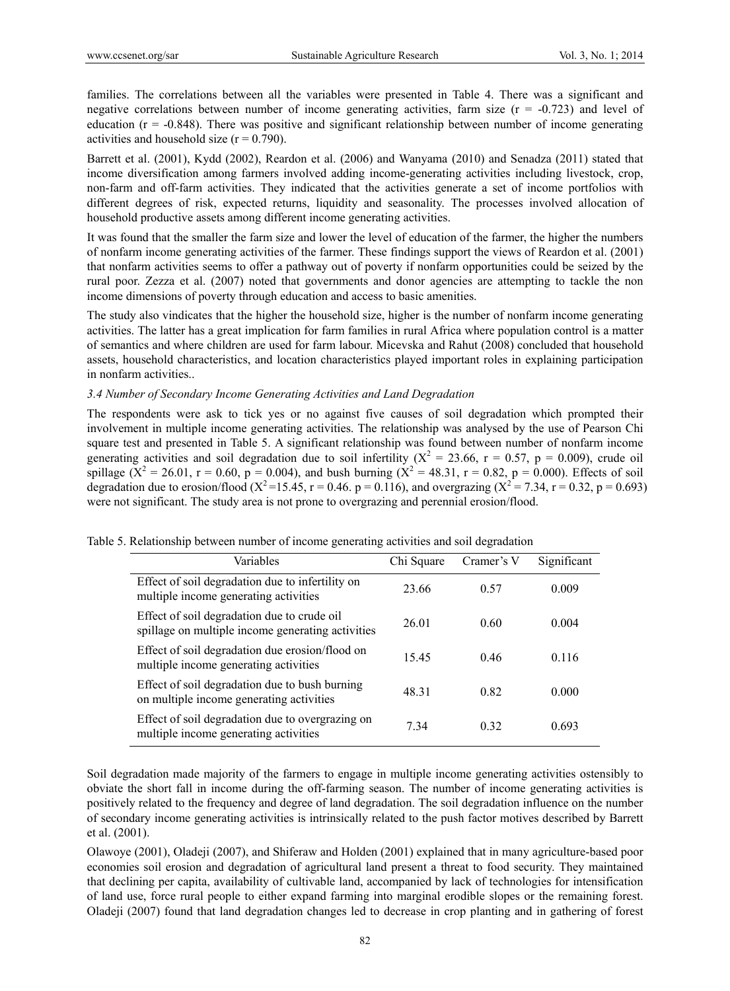families. The correlations between all the variables were presented in Table 4. There was a significant and negative correlations between number of income generating activities, farm size  $(r = -0.723)$  and level of education ( $r = -0.848$ ). There was positive and significant relationship between number of income generating activities and household size  $(r = 0.790)$ .

Barrett et al. (2001), Kydd (2002), Reardon et al. (2006) and Wanyama (2010) and Senadza (2011) stated that income diversification among farmers involved adding income-generating activities including livestock, crop, non-farm and off-farm activities. They indicated that the activities generate a set of income portfolios with different degrees of risk, expected returns, liquidity and seasonality. The processes involved allocation of household productive assets among different income generating activities.

It was found that the smaller the farm size and lower the level of education of the farmer, the higher the numbers of nonfarm income generating activities of the farmer. These findings support the views of Reardon et al. (2001) that nonfarm activities seems to offer a pathway out of poverty if nonfarm opportunities could be seized by the rural poor. Zezza et al. (2007) noted that governments and donor agencies are attempting to tackle the non income dimensions of poverty through education and access to basic amenities.

The study also vindicates that the higher the household size, higher is the number of nonfarm income generating activities. The latter has a great implication for farm families in rural Africa where population control is a matter of semantics and where children are used for farm labour. Micevska and Rahut (2008) concluded that household assets, household characteristics, and location characteristics played important roles in explaining participation in nonfarm activities..

# *3.4 Number of Secondary Income Generating Activities and Land Degradation*

The respondents were ask to tick yes or no against five causes of soil degradation which prompted their involvement in multiple income generating activities. The relationship was analysed by the use of Pearson Chi square test and presented in Table 5. A significant relationship was found between number of nonfarm income generating activities and soil degradation due to soil infertility ( $X^2 = 23.66$ , r = 0.57, p = 0.009), crude oil spillage ( $X^2 = 26.01$ ,  $r = 0.60$ ,  $p = 0.004$ ), and bush burning ( $X^2 = 48.31$ ,  $r = 0.82$ ,  $p = 0.000$ ). Effects of soil degradation due to erosion/flood ( $X^2 = 15.45$ , r = 0.46. p = 0.116), and overgrazing ( $X^2 = 7.34$ , r = 0.32, p = 0.693) were not significant. The study area is not prone to overgrazing and perennial erosion/flood.

| Variables                                                                                        | Chi Square | Cramer's V | Significant |
|--------------------------------------------------------------------------------------------------|------------|------------|-------------|
| Effect of soil degradation due to infertility on<br>multiple income generating activities        | 23.66      | 0.57       | 0.009       |
| Effect of soil degradation due to crude oil<br>spillage on multiple income generating activities | 26.01      | 0.60       | 0.004       |
| Effect of soil degradation due erosion/flood on<br>multiple income generating activities         | 1545       | 0.46       | 0116        |
| Effect of soil degradation due to bush burning<br>on multiple income generating activities       | 48 31      | 0.82       | 0.000       |
| Effect of soil degradation due to overgrazing on<br>multiple income generating activities        | 734        | 0.32       | 0.693       |

Table 5. Relationship between number of income generating activities and soil degradation

Soil degradation made majority of the farmers to engage in multiple income generating activities ostensibly to obviate the short fall in income during the off-farming season. The number of income generating activities is positively related to the frequency and degree of land degradation. The soil degradation influence on the number of secondary income generating activities is intrinsically related to the push factor motives described by Barrett et al. (2001).

Olawoye (2001), Oladeji (2007), and Shiferaw and Holden (2001) explained that in many agriculture-based poor economies soil erosion and degradation of agricultural land present a threat to food security. They maintained that declining per capita, availability of cultivable land, accompanied by lack of technologies for intensification of land use, force rural people to either expand farming into marginal erodible slopes or the remaining forest. Oladeji (2007) found that land degradation changes led to decrease in crop planting and in gathering of forest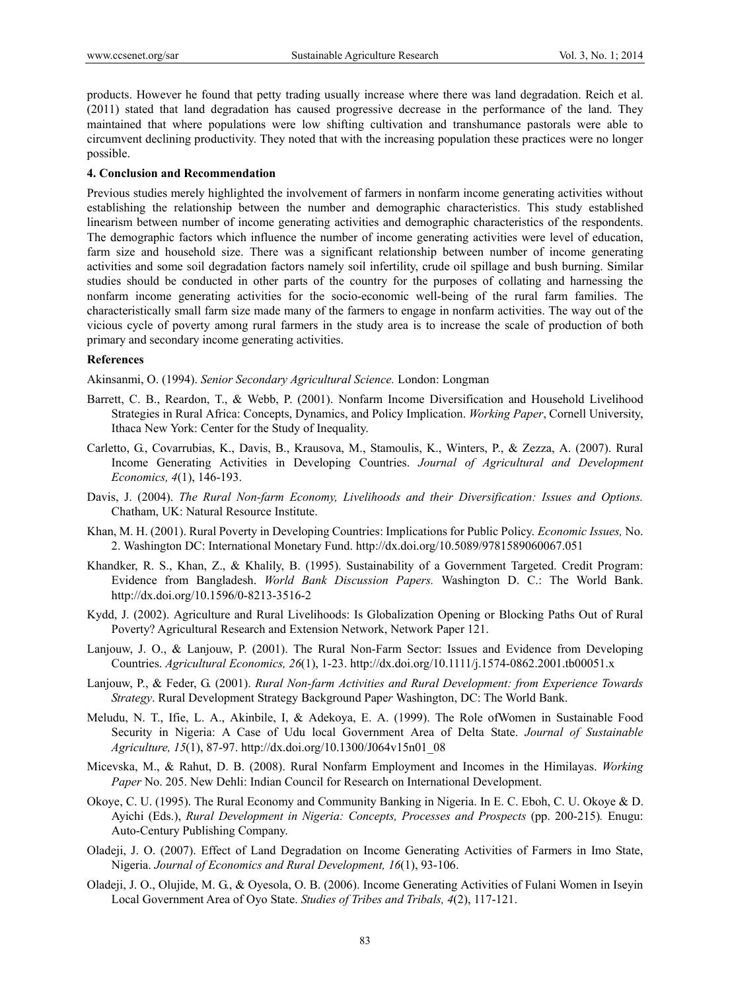products. However he found that petty trading usually increase where there was land degradation. Reich et al. (2011) stated that land degradation has caused progressive decrease in the performance of the land. They maintained that where populations were low shifting cultivation and transhumance pastorals were able to circumvent declining productivity. They noted that with the increasing population these practices were no longer possible.

#### **4. Conclusion and Recommendation**

Previous studies merely highlighted the involvement of farmers in nonfarm income generating activities without establishing the relationship between the number and demographic characteristics. This study established linearism between number of income generating activities and demographic characteristics of the respondents. The demographic factors which influence the number of income generating activities were level of education, farm size and household size. There was a significant relationship between number of income generating activities and some soil degradation factors namely soil infertility, crude oil spillage and bush burning. Similar studies should be conducted in other parts of the country for the purposes of collating and harnessing the nonfarm income generating activities for the socio-economic well-being of the rural farm families. The characteristically small farm size made many of the farmers to engage in nonfarm activities. The way out of the vicious cycle of poverty among rural farmers in the study area is to increase the scale of production of both primary and secondary income generating activities.

#### **References**

Akinsanmi, O. (1994). *Senior Secondary Agricultural Science.* London: Longman

- Barrett, C. B., Reardon, T., & Webb, P. (2001). Nonfarm Income Diversification and Household Livelihood Strategies in Rural Africa: Concepts, Dynamics, and Policy Implication. *Working Paper*, Cornell University, Ithaca New York: Center for the Study of Inequality.
- Carletto, G., Covarrubias, K., Davis, B., Krausova, M., Stamoulis, K., Winters, P., & Zezza, A. (2007). Rural Income Generating Activities in Developing Countries. *Journal of Agricultural and Development Economics, 4*(1), 146-193.
- Davis, J. (2004). *The Rural Non-farm Economy, Livelihoods and their Diversification: Issues and Options.*  Chatham, UK: Natural Resource Institute.
- Khan, M. H. (2001). Rural Poverty in Developing Countries: Implications for Public Policy. *Economic Issues,* No. 2. Washington DC: International Monetary Fund. http://dx.doi.org/10.5089/9781589060067.051
- Khandker, R. S., Khan, Z., & Khalily, B. (1995). Sustainability of a Government Targeted. Credit Program: Evidence from Bangladesh. *World Bank Discussion Papers.* Washington D. C.: The World Bank. http://dx.doi.org/10.1596/0-8213-3516-2
- Kydd, J. (2002). Agriculture and Rural Livelihoods: Is Globalization Opening or Blocking Paths Out of Rural Poverty? Agricultural Research and Extension Network, Network Paper 121.
- Lanjouw, J. O., & Lanjouw, P. (2001). The Rural Non-Farm Sector: Issues and Evidence from Developing Countries. *Agricultural Economics, 26*(1), 1-23. http://dx.doi.org/10.1111/j.1574-0862.2001.tb00051.x
- Lanjouw, P., & Feder, G. (2001). *Rural Non-farm Activities and Rural Development: from Experience Towards Strategy*. Rural Development Strategy Background Pape*r* Washington, DC: The World Bank.
- Meludu, N. T., Ifie, L. A., Akinbile, I, & Adekoya, E. A. (1999). The Role ofWomen in Sustainable Food Security in Nigeria: A Case of Udu local Government Area of Delta State. *Journal of Sustainable Agriculture, 15*(1), 87-97. http://dx.doi.org/10.1300/J064v15n01\_08
- Micevska, M., & Rahut, D. B. (2008). Rural Nonfarm Employment and Incomes in the Himilayas. *Working Paper* No. 205. New Dehli: Indian Council for Research on International Development.
- Okoye, C. U. (1995). The Rural Economy and Community Banking in Nigeria. In E. C. Eboh, C. U. Okoye & D. Ayichi (Eds.), *Rural Development in Nigeria: Concepts, Processes and Prospects* (pp. 200-215)*.* Enugu: Auto-Century Publishing Company.
- Oladeji, J. O. (2007). Effect of Land Degradation on Income Generating Activities of Farmers in Imo State, Nigeria. *Journal of Economics and Rural Development, 16*(1), 93-106.
- Oladeji, J. O., Olujide, M. G., & Oyesola, O. B. (2006). Income Generating Activities of Fulani Women in Iseyin Local Government Area of Oyo State. *Studies of Tribes and Tribals, 4*(2), 117-121.